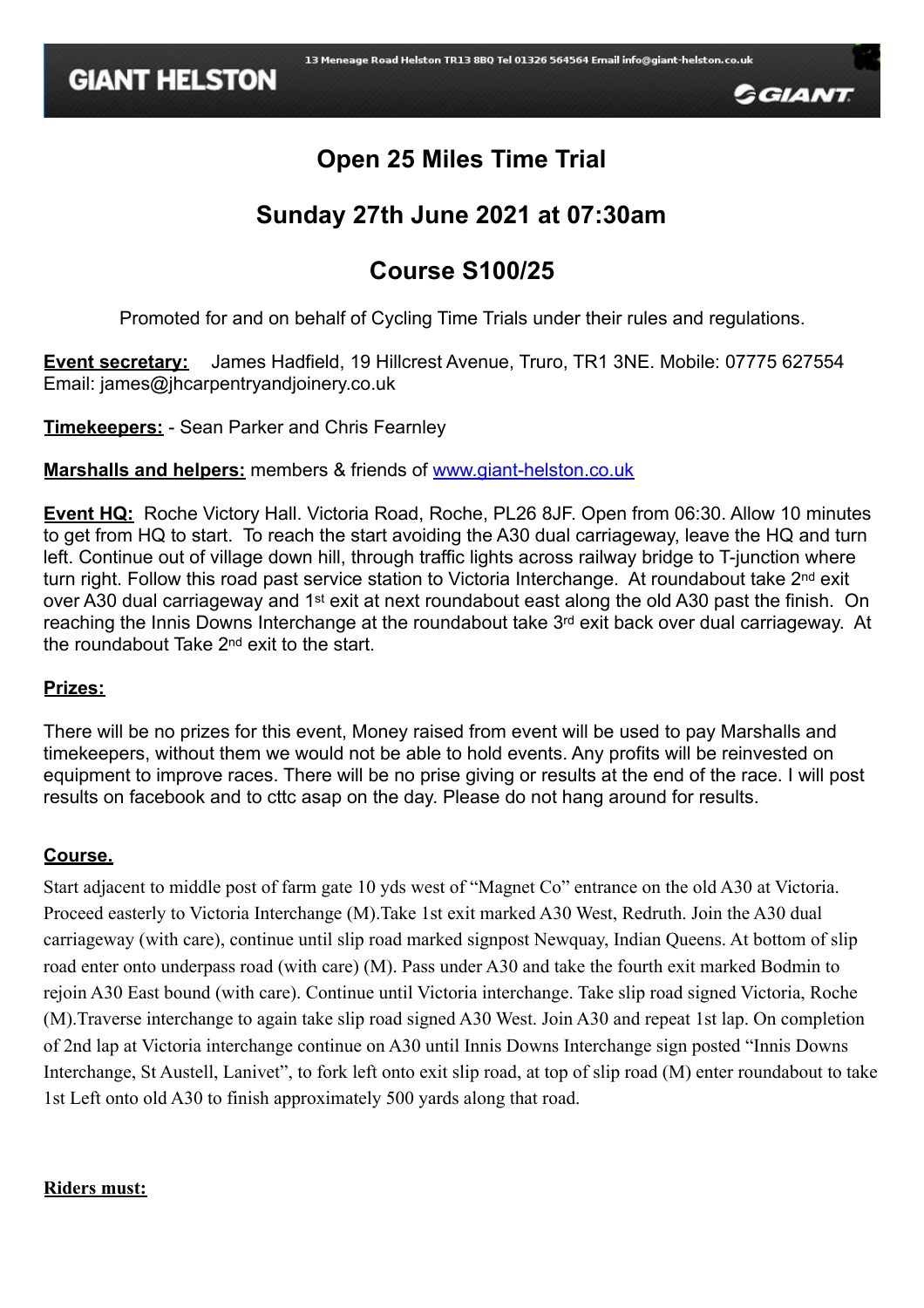

# **Open 25 Miles Time Trial**

# **Sunday 27th June 2021 at 07:30am**

# **Course S100/25**

Promoted for and on behalf of Cycling Time Trials under their rules and regulations.

**Event secretary:** James Hadfield, 19 Hillcrest Avenue, Truro, TR1 3NE. Mobile: 07775 627554 Email: james@jhcarpentryandjoinery.co.uk

**Timekeepers:** - Sean Parker and Chris Fearnley

**Marshalls and helpers:** members & friends of [www.giant-helston.co.uk](http://www.giant-helston.co.uk)

**Event HQ:** Roche Victory Hall. Victoria Road, Roche, PL26 8JF. Open from 06:30. Allow 10 minutes to get from HQ to start. To reach the start avoiding the A30 dual carriageway, leave the HQ and turn left. Continue out of village down hill, through traffic lights across railway bridge to T-junction where turn right. Follow this road past service station to Victoria Interchange. At roundabout take 2<sup>nd</sup> exit over A30 dual carriageway and 1<sup>st</sup> exit at next roundabout east along the old A30 past the finish. On reaching the Innis Downs Interchange at the roundabout take 3rd exit back over dual carriageway. At the roundabout Take 2nd exit to the start.

### **Prizes:**

There will be no prizes for this event, Money raised from event will be used to pay Marshalls and timekeepers, without them we would not be able to hold events. Any profits will be reinvested on equipment to improve races. There will be no prise giving or results at the end of the race. I will post results on facebook and to cttc asap on the day. Please do not hang around for results.

## **Course.**

Start adjacent to middle post of farm gate 10 yds west of "Magnet Co" entrance on the old A30 at Victoria. Proceed easterly to Victoria Interchange (M).Take 1st exit marked A30 West, Redruth. Join the A30 dual carriageway (with care), continue until slip road marked signpost Newquay, Indian Queens. At bottom of slip road enter onto underpass road (with care) (M). Pass under A30 and take the fourth exit marked Bodmin to rejoin A30 East bound (with care). Continue until Victoria interchange. Take slip road signed Victoria, Roche (M).Traverse interchange to again take slip road signed A30 West. Join A30 and repeat 1st lap. On completion of 2nd lap at Victoria interchange continue on A30 until Innis Downs Interchange sign posted "Innis Downs Interchange, St Austell, Lanivet", to fork left onto exit slip road, at top of slip road (M) enter roundabout to take 1st Left onto old A30 to finish approximately 500 yards along that road.

#### **Riders must:**